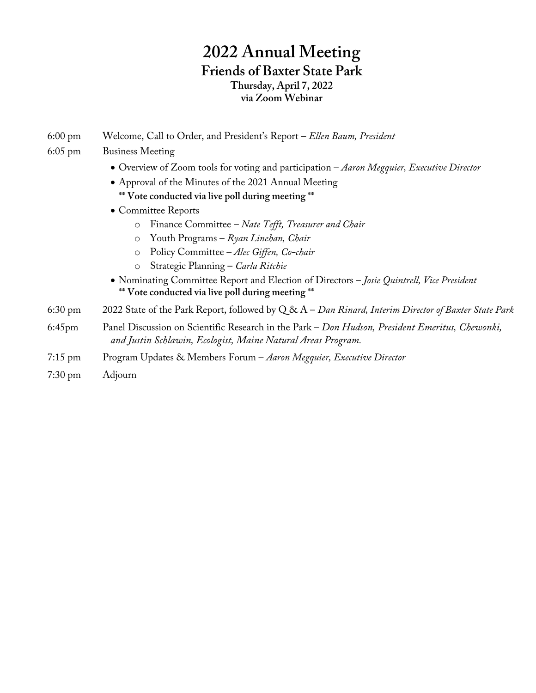# **2022 Annual Meeting Friends of Baxter State Park Thursday, April 7, 2022 via Zoom Webinar**

6:00 pm Welcome, Call to Order, and President's Report – *Ellen Baum, President*

### 6:05 pm Business Meeting

- Overview of Zoom tools for voting and participation *Aaron Megquier, Executive Director*
- Approval of the Minutes of the 2021 Annual Meeting **\*\* Vote conducted via live poll during meeting \*\***
- Committee Reports
	- o Finance Committee *Nate Tefft, Treasurer and Chair*
	- o Youth Programs *Ryan Linehan, Chair*
	- o Policy Committee *Alec Giffen, Co-chair*
	- o Strategic Planning *Carla Ritchie*
- Nominating Committee Report and Election of Directors *Josie Quintrell, Vice President* **\*\* Vote conducted via live poll during meeting \*\***
- 6:30 pm 2022 State of the Park Report, followed by Q & A *Dan Rinard, Interim Director of Baxter State Park*
- 6:45pm Panel Discussion on Scientific Research in the Park *Don Hudson, President Emeritus, Chewonki, and Justin Schlawin, Ecologist, Maine Natural Areas Program.*
- 7:15 pm Program Updates & Members Forum *Aaron Megquier, Executive Director*
- 7:30 pm Adjourn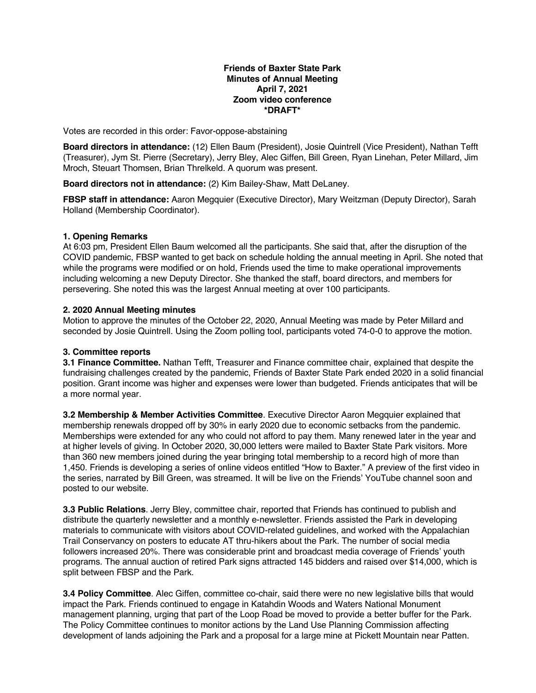#### **Friends of Baxter State Park Minutes of Annual Meeting April 7, 2021 Zoom video conference \*DRAFT\***

Votes are recorded in this order: Favor-oppose-abstaining

**Board directors in attendance:** (12) Ellen Baum (President), Josie Quintrell (Vice President), Nathan Tefft (Treasurer), Jym St. Pierre (Secretary), Jerry Bley, Alec Giffen, Bill Green, Ryan Linehan, Peter Millard, Jim Mroch, Steuart Thomsen, Brian Threlkeld. A quorum was present.

**Board directors not in attendance:** (2) Kim Bailey-Shaw, Matt DeLaney.

**FBSP staff in attendance:** Aaron Megquier (Executive Director), Mary Weitzman (Deputy Director), Sarah Holland (Membership Coordinator).

### **1. Opening Remarks**

At 6:03 pm, President Ellen Baum welcomed all the participants. She said that, after the disruption of the COVID pandemic, FBSP wanted to get back on schedule holding the annual meeting in April. She noted that while the programs were modified or on hold, Friends used the time to make operational improvements including welcoming a new Deputy Director. She thanked the staff, board directors, and members for persevering. She noted this was the largest Annual meeting at over 100 participants.

### **2. 2020 Annual Meeting minutes**

Motion to approve the minutes of the October 22, 2020, Annual Meeting was made by Peter Millard and seconded by Josie Quintrell. Using the Zoom polling tool, participants voted 74-0-0 to approve the motion.

### **3. Committee reports**

**3.1 Finance Committee.** Nathan Tefft, Treasurer and Finance committee chair, explained that despite the fundraising challenges created by the pandemic, Friends of Baxter State Park ended 2020 in a solid financial position. Grant income was higher and expenses were lower than budgeted. Friends anticipates that will be a more normal year.

**3.2 Membership & Member Activities Committee**. Executive Director Aaron Megquier explained that membership renewals dropped off by 30% in early 2020 due to economic setbacks from the pandemic. Memberships were extended for any who could not afford to pay them. Many renewed later in the year and at higher levels of giving. In October 2020, 30,000 letters were mailed to Baxter State Park visitors. More than 360 new members joined during the year bringing total membership to a record high of more than 1,450. Friends is developing a series of online videos entitled "How to Baxter." A preview of the first video in the series, narrated by Bill Green, was streamed. It will be live on the Friends' YouTube channel soon and posted to our website.

**3.3 Public Relations**. Jerry Bley, committee chair, reported that Friends has continued to publish and distribute the quarterly newsletter and a monthly e-newsletter. Friends assisted the Park in developing materials to communicate with visitors about COVID-related guidelines, and worked with the Appalachian Trail Conservancy on posters to educate AT thru-hikers about the Park. The number of social media followers increased 20%. There was considerable print and broadcast media coverage of Friends' youth programs. The annual auction of retired Park signs attracted 145 bidders and raised over \$14,000, which is split between FBSP and the Park.

**3.4 Policy Committee**. Alec Giffen, committee co-chair, said there were no new legislative bills that would impact the Park. Friends continued to engage in Katahdin Woods and Waters National Monument management planning, urging that part of the Loop Road be moved to provide a better buffer for the Park. The Policy Committee continues to monitor actions by the Land Use Planning Commission affecting development of lands adjoining the Park and a proposal for a large mine at Pickett Mountain near Patten.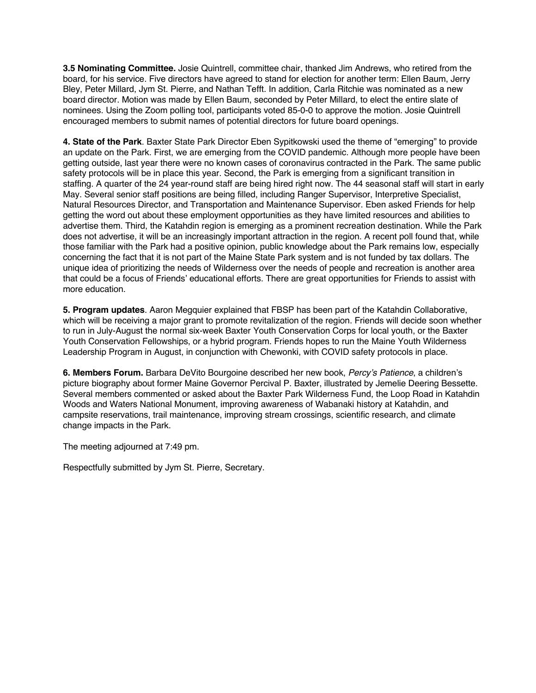**3.5 Nominating Committee.** Josie Quintrell, committee chair, thanked Jim Andrews, who retired from the board, for his service. Five directors have agreed to stand for election for another term: Ellen Baum, Jerry Bley, Peter Millard, Jym St. Pierre, and Nathan Tefft. In addition, Carla Ritchie was nominated as a new board director. Motion was made by Ellen Baum, seconded by Peter Millard, to elect the entire slate of nominees. Using the Zoom polling tool, participants voted 85-0-0 to approve the motion. Josie Quintrell encouraged members to submit names of potential directors for future board openings.

**4. State of the Park**. Baxter State Park Director Eben Sypitkowski used the theme of "emerging" to provide an update on the Park. First, we are emerging from the COVID pandemic. Although more people have been getting outside, last year there were no known cases of coronavirus contracted in the Park. The same public safety protocols will be in place this year. Second, the Park is emerging from a significant transition in staffing. A quarter of the 24 year-round staff are being hired right now. The 44 seasonal staff will start in early May. Several senior staff positions are being filled, including Ranger Supervisor, Interpretive Specialist, Natural Resources Director, and Transportation and Maintenance Supervisor. Eben asked Friends for help getting the word out about these employment opportunities as they have limited resources and abilities to advertise them. Third, the Katahdin region is emerging as a prominent recreation destination. While the Park does not advertise, it will be an increasingly important attraction in the region. A recent poll found that, while those familiar with the Park had a positive opinion, public knowledge about the Park remains low, especially concerning the fact that it is not part of the Maine State Park system and is not funded by tax dollars. The unique idea of prioritizing the needs of Wilderness over the needs of people and recreation is another area that could be a focus of Friends' educational efforts. There are great opportunities for Friends to assist with more education.

**5. Program updates**. Aaron Megquier explained that FBSP has been part of the Katahdin Collaborative, which will be receiving a major grant to promote revitalization of the region. Friends will decide soon whether to run in July-August the normal six-week Baxter Youth Conservation Corps for local youth, or the Baxter Youth Conservation Fellowships, or a hybrid program. Friends hopes to run the Maine Youth Wilderness Leadership Program in August, in conjunction with Chewonki, with COVID safety protocols in place.

**6. Members Forum.** Barbara DeVito Bourgoine described her new book, *Percy's Patience*, a children's picture biography about former Maine Governor Percival P. Baxter, illustrated by Jemelie Deering Bessette. Several members commented or asked about the Baxter Park Wilderness Fund, the Loop Road in Katahdin Woods and Waters National Monument, improving awareness of Wabanaki history at Katahdin, and campsite reservations, trail maintenance, improving stream crossings, scientific research, and climate change impacts in the Park.

The meeting adjourned at 7:49 pm.

Respectfully submitted by Jym St. Pierre, Secretary.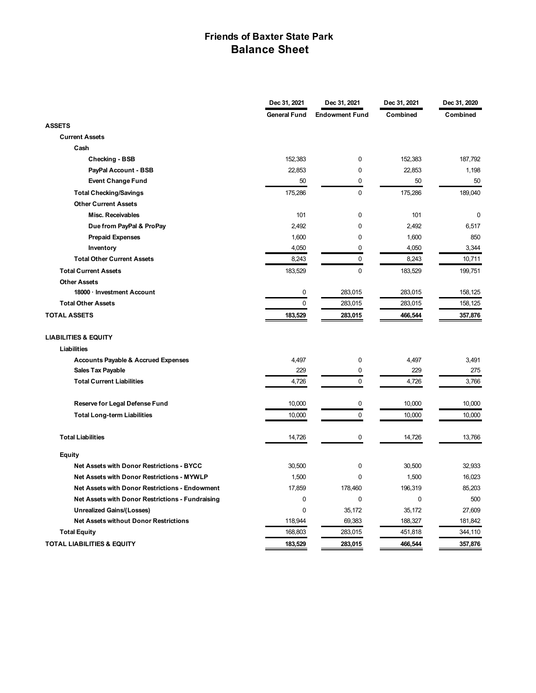## **Friends of Baxter State Park Balance Sheet**

|                                                   | Dec 31, 2021        | Dec 31, 2021          | Dec 31, 2021 | Dec 31, 2020 |
|---------------------------------------------------|---------------------|-----------------------|--------------|--------------|
|                                                   | <b>General Fund</b> | <b>Endowment Fund</b> | Combined     | Combined     |
| <b>ASSETS</b>                                     |                     |                       |              |              |
| <b>Current Assets</b>                             |                     |                       |              |              |
| Cash                                              |                     |                       |              |              |
| <b>Checking - BSB</b>                             | 152,383             | 0                     | 152,383      | 187,792      |
| PayPal Account - BSB                              | 22,853              | 0                     | 22,853       | 1,198        |
| <b>Event Change Fund</b>                          | 50                  | 0                     | 50           | 50           |
| <b>Total Checking/Savings</b>                     | 175,286             | 0                     | 175,286      | 189,040      |
| <b>Other Current Assets</b>                       |                     |                       |              |              |
| <b>Misc. Receivables</b>                          | 101                 | 0                     | 101          | 0            |
| Due from PayPal & ProPay                          | 2,492               | $\mathbf 0$           | 2,492        | 6,517        |
| <b>Prepaid Expenses</b>                           | 1,600               | 0                     | 1,600        | 850          |
| Inventory                                         | 4,050               | $\mathbf{0}$          | 4,050        | 3,344        |
| <b>Total Other Current Assets</b>                 | 8,243               | 0                     | 8,243        | 10,711       |
| <b>Total Current Assets</b>                       | 183,529             | 0                     | 183,529      | 199,751      |
| <b>Other Assets</b>                               |                     |                       |              |              |
| 18000 · Investment Account                        | $\mathbf 0$         | 283,015               | 283,015      | 158,125      |
| <b>Total Other Assets</b>                         | $\mathbf 0$         | 283,015               | 283,015      | 158,125      |
| <b>TOTAL ASSETS</b>                               | 183,529             | 283,015               | 466,544      | 357,876      |
| <b>LIABILITIES &amp; EQUITY</b>                   |                     |                       |              |              |
| <b>Liabilities</b>                                |                     |                       |              |              |
| <b>Accounts Payable &amp; Accrued Expenses</b>    | 4,497               | 0                     | 4,497        | 3,491        |
| <b>Sales Tax Payable</b>                          | 229                 | 0                     | 229          | 275          |
| <b>Total Current Liabilities</b>                  | 4,726               | 0                     | 4,726        | 3,766        |
| Reserve for Legal Defense Fund                    | 10,000              | 0                     | 10,000       | 10,000       |
| <b>Total Long-term Liabilities</b>                | 10,000              | $\mathbf 0$           | 10,000       | 10,000       |
| <b>Total Liabilities</b>                          | 14,726              | 0                     | 14,726       | 13,766       |
| Equity                                            |                     |                       |              |              |
| Net Assets with Donor Restrictions - BYCC         | 30,500              | 0                     | 30,500       | 32,933       |
| <b>Net Assets with Donor Restrictions - MYWLP</b> | 1,500               | 0                     | 1,500        | 16,023       |
| Net Assets with Donor Restrictions - Endowment    | 17,859              | 178,460               | 196,319      | 85,203       |
| Net Assets with Donor Restrictions - Fundraising  | 0                   | 0                     | 0            | 500          |
| <b>Unrealized Gains/(Losses)</b>                  | $\mathbf 0$         | 35,172                | 35,172       | 27,609       |
| <b>Net Assets without Donor Restrictions</b>      | 118.944             | 69,383                | 188,327      | 181,842      |
| <b>Total Equity</b>                               | 168,803             | 283,015               | 451,818      | 344,110      |
| <b>TOTAL LIABILITIES &amp; EQUITY</b>             | 183,529             | 283,015               | 466,544      | 357,876      |
|                                                   |                     |                       |              |              |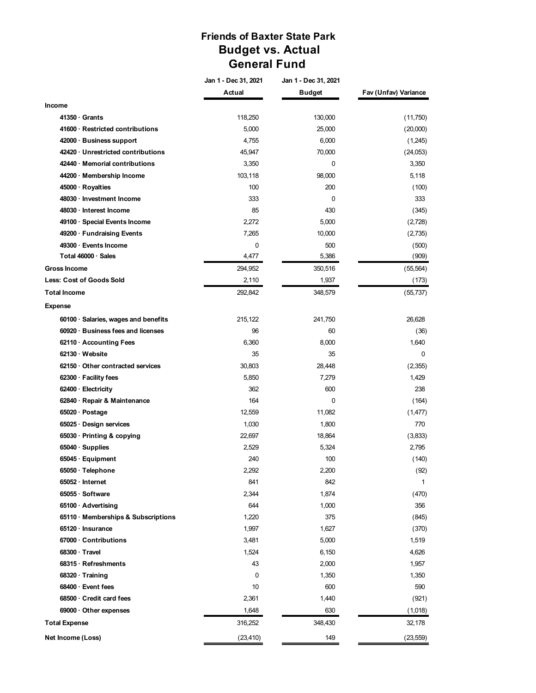## **Friends of Baxter State Park Budget vs. Actual General Fund**

|                                         | Jan 1 - Dec 31, 2021 | Jan 1 - Dec 31, 2021 |                      |  |
|-----------------------------------------|----------------------|----------------------|----------------------|--|
|                                         | Actual               | <b>Budget</b>        | Fav (Unfav) Variance |  |
| Income                                  |                      |                      |                      |  |
| 41350 Grants                            | 118,250              | 130,000              | (11,750)             |  |
| 41600 · Restricted contributions        | 5,000                | 25,000               | (20,000)             |  |
| 42000 · Business support                | 4,755                | 6,000                | (1,245)              |  |
| 42420 · Unrestricted contributions      | 45,947               | 70,000               | (24,053)             |  |
| 42440 · Memorial contributions          | 3,350                | $\Omega$             | 3,350                |  |
| 44200 · Membership Income               | 103,118              | 98,000               | 5,118                |  |
| 45000 · Royalties                       | 100                  | 200                  | (100)                |  |
| 48030 · Investment Income               | 333                  | 0                    | 333                  |  |
| 48030 · Interest Income                 | 85                   | 430                  | (345)                |  |
| 49100 · Special Events Income           | 2,272                | 5,000                | (2,728)              |  |
| 49200 · Fundraising Events              | 7,265                | 10,000               | (2,735)              |  |
| 49300 · Events Income                   | 0                    | 500                  | (500)                |  |
| Total 46000 · Sales                     | 4,477                | 5,386                | (909)                |  |
| <b>Gross Income</b>                     | 294,952              | 350,516              | (55, 564)            |  |
| <b>Less: Cost of Goods Sold</b>         | 2,110                | 1,937                | (173)                |  |
| <b>Total Income</b>                     | 292,842              | 348,579              | (55, 737)            |  |
| <b>Expense</b>                          |                      |                      |                      |  |
| 60100 · Salaries, wages and benefits    | 215,122              | 241,750              | 26,628               |  |
| 60920 · Business fees and licenses      | 96                   | 60                   | (36)                 |  |
| 62110 · Accounting Fees                 | 6,360                | 8,000                | 1,640                |  |
| 62130 · Website                         | 35                   | 35                   | 0                    |  |
| $62150 \cdot$ Other contracted services | 30,803               | 28,448               | (2,355)              |  |
| $62300 \cdot$ Facility fees             | 5,850                | 7,279                | 1,429                |  |
| $62400 \cdot$ Electricity               | 362                  | 600                  | 238                  |  |
| 62840 · Repair & Maintenance            | 164                  | 0                    | (164)                |  |
| 65020 · Postage                         | 12,559               | 11,082               | (1, 477)             |  |
| 65025 · Design services                 | 1,030                | 1,800                | 770                  |  |
| 65030 · Printing & copying              | 22,697               | 18,864               | (3,833)              |  |
| 65040 · Supplies                        | 2,529                | 5,324                | 2,795                |  |
| $65045 \cdot$ Equipment                 | 240                  | 100                  | (140)                |  |
| 65050 · Telephone                       | 2,292                | 2,200                | (92)                 |  |
| $65052 \cdot Internet$                  | 841                  | 842                  | 1                    |  |
| 65055 · Software                        | 2,344                | 1,874                | (470)                |  |
| 65100 · Advertising                     | 644                  | 1,000                | 356                  |  |
| 65110 · Memberships & Subscriptions     | 1,220                | 375                  | (845)                |  |
| $65120 \cdot$ Insurance                 | 1,997                | 1,627                | (370)                |  |
| 67000 · Contributions                   | 3,481                | 5,000                | 1,519                |  |
| 68300 · Travel                          | 1,524                | 6,150                | 4,626                |  |
| 68315 · Refreshments                    | 43                   | 2,000                | 1,957                |  |
| 68320 · Training                        | 0                    | 1,350                | 1,350                |  |
| 68400 · Event fees                      | 10                   | 600                  | 590                  |  |
| 68500 · Credit card fees                | 2,361                | 1,440                | (921)                |  |
| $69000 \cdot$ Other expenses            | 1,648                | 630                  | (1,018)              |  |
| <b>Total Expense</b>                    | 316,252              | 348,430              | 32,178               |  |
| Net Income (Loss)                       | (23, 410)            | 149                  | (23, 559)            |  |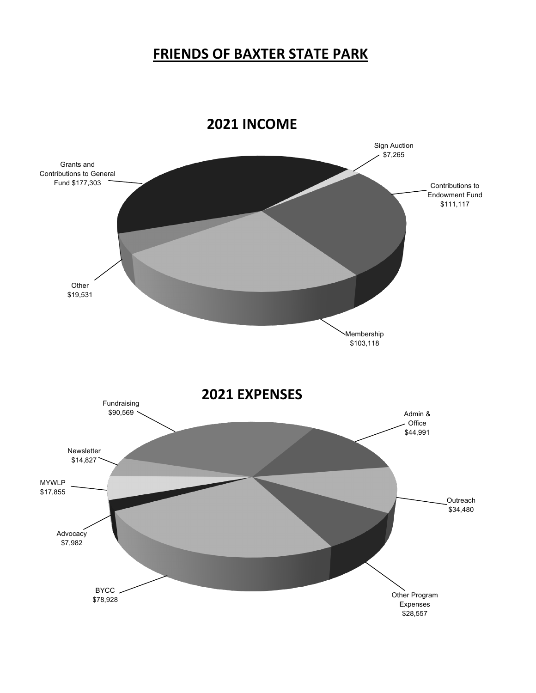# **FRIENDS OF BAXTER STATE PARK**

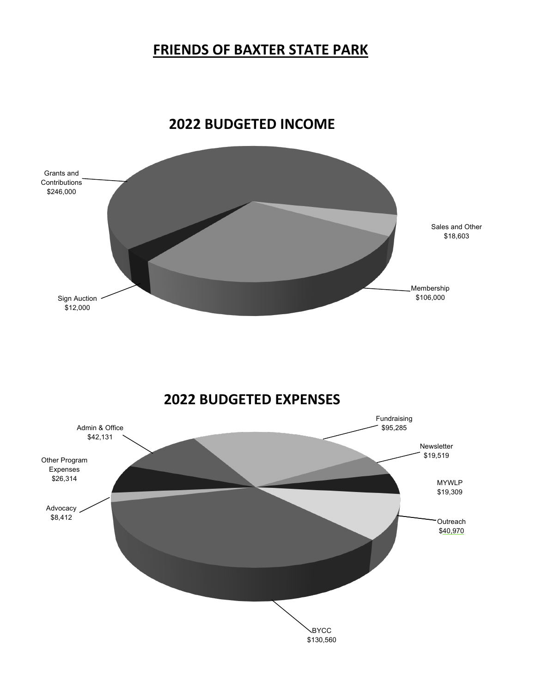# **FRIENDS OF BAXTER STATE PARK**



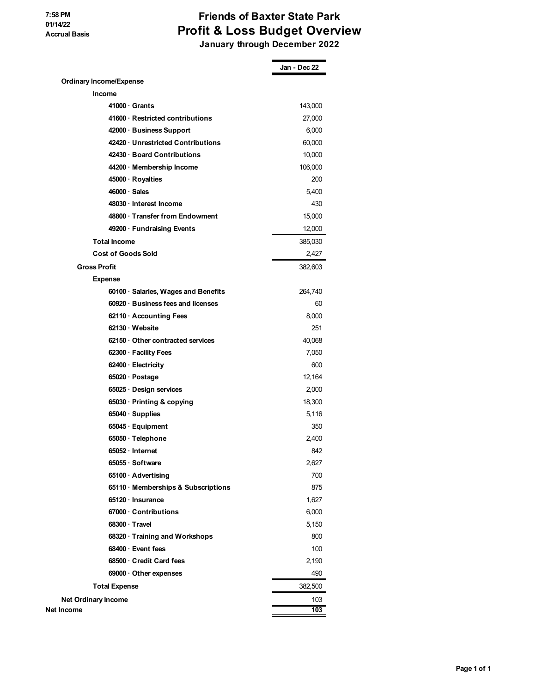## **Friends of Baxter State Park Profit & Loss Budget Overview January through December 2022**

**Jan - Dec 22 Ordinary Income/Expense Income 41000 · Grants** 143,000 **41600 · Restricted contributions** 27,000 **42000 · Business Support** 6,000 **42420 · Unrestricted Contributions** 60,000 **42430 · Board Contributions** 10,000 **44200 · Membership Income** 106,000 **45000 · Royalties** 200 **46000 · Sales** 5,400 **48030 · Interest Income** 430 **48800 · Transfer from Endowment** 15,000 **49200 · Fundraising Events** 12,000 **Total Income** 385,030 **Cost of Goods Sold** 2,427 **Gross Profit** 382,603 **Expense 60100 · Salaries, Wages and Benefits** 264,740 **60920 · Business fees and licenses** 60 **62110 · Accounting Fees** 8,000 **62130 · Website** 251 **62150 · Other contracted services** 40,068 **62300 · Facility Fees** 7,050 **62400 · Electricity** 600 **65020 · Postage** 12,164 **65025 · Design services** 2,000 **65030 · Printing & copying 18,300 manufactures** 18,300 manufactures 18,300 manufactures 18,300 manufactures 18,300 manufactures 18,300 manufactures 18,300 manufactures 18,300 manufactures 18,300 manufactures 18,300 manufa **65040 · Supplies** 5,116 **65045 · Equipment** 350 **65050 · Telephone** 2,400 **65052 · Internet** 842 **65055 · Software** 2,627 **65100 · Advertising** 700 **65110 · Memberships & Subscriptions** 875 **65120 · Insurance** 1,627 **67000 · Contributions** 6,000 **68300 · Travel** 5,150 **68320 · Training and Workshops** 800 **68400 · Event fees** 100 **68500 · Credit Card fees** 2,190 **69000 · Other expenses** 490 **Total Expense** 382,500 **Net Ordinary Income** 103 **Net Income 103**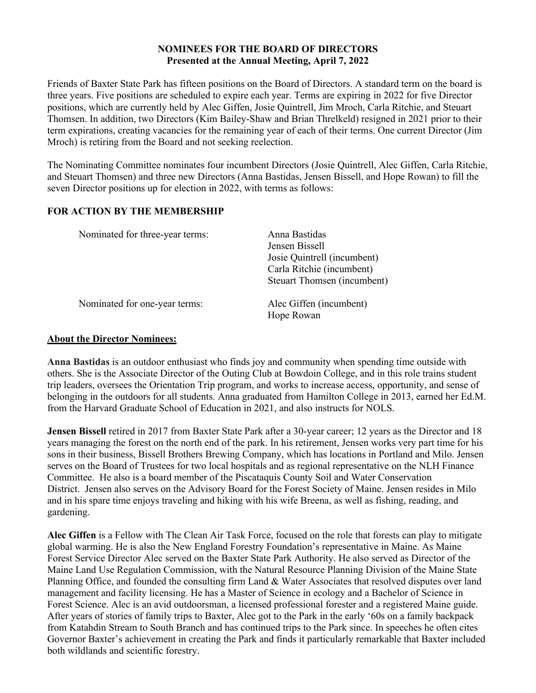### **NOMINEES FOR THE BOARD OF DIRECTORS Presented at the Annual Meeting, April 7, 2022**

Friends of Baxter State Park has fifteen positions on the Board of Directors. A standard term on the board is three years. Five positions are scheduled to expire each year. Terms are expiring in 2022 for five Director positions, which are currently held by Alec Giffen, Josie Quintrell, Jim Mroch, Carla Ritchie, and Steuart Thomsen. In addition, two Directors (Kim Bailey-Shaw and Brian Threlkeld) resigned in 2021 prior to their term expirations, creating vacancies for the remaining year of each of their terms. One current Director (Jim Mroch) is retiring from the Board and not seeking reelection.

The Nominating Committee nominates four incumbent Directors (Josie Quintrell, Alec Giffen, Carla Ritchie, and Steuart Thomsen) and three new Directors (Anna Bastidas, Jensen Bissell, and Hope Rowan) to fill the seven Director positions up for election in 2022, with terms as follows:

### **FOR ACTION BY THE MEMBERSHIP**

| Nominated for three-year terms: | Anna Bastidas               |  |  |
|---------------------------------|-----------------------------|--|--|
|                                 | Jensen Bissell              |  |  |
|                                 | Josie Quintrell (incumbent) |  |  |
|                                 | Carla Ritchie (incumbent)   |  |  |
|                                 | Steuart Thomsen (incumbent) |  |  |
| Nominated for one-year terms:   | Alec Giffen (incumbent)     |  |  |
|                                 | Hope Rowan                  |  |  |

### **About the Director Nominees:**

**Anna Bastidas** is an outdoor enthusiast who finds joy and community when spending time outside with others. She is the Associate Director of the Outing Club at Bowdoin College, and in this role trains student trip leaders, oversees the Orientation Trip program, and works to increase access, opportunity, and sense of belonging in the outdoors for all students. Anna graduated from Hamilton College in 2013, earned her Ed.M. from the Harvard Graduate School of Education in 2021, and also instructs for NOLS.

**Jensen Bissell** retired in 2017 from Baxter State Park after a 30-year career; 12 years as the Director and 18 years managing the forest on the north end of the park. In his retirement, Jensen works very part time for his sons in their business, Bissell Brothers Brewing Company, which has locations in Portland and Milo. Jensen serves on the Board of Trustees for two local hospitals and as regional representative on the NLH Finance Committee. He also is a board member of the Piscataquis County Soil and Water Conservation District. Jensen also serves on the Advisory Board for the Forest Society of Maine. Jensen resides in Milo and in his spare time enjoys traveling and hiking with his wife Breena, as well as fishing, reading, and gardening.

**Alec Giffen** is a Fellow with The Clean Air Task Force, focused on the role that forests can play to mitigate global warming. He is also the New England Forestry Foundation's representative in Maine. As Maine Forest Service Director Alec served on the Baxter State Park Authority. He also served as Director of the Maine Land Use Regulation Commission, with the Natural Resource Planning Division of the Maine State Planning Office, and founded the consulting firm Land & Water Associates that resolved disputes over land management and facility licensing. He has a Master of Science in ecology and a Bachelor of Science in Forest Science. Alec is an avid outdoorsman, a licensed professional forester and a registered Maine guide. After years of stories of family trips to Baxter, Alec got to the Park in the early '60s on a family backpack from Katahdin Stream to South Branch and has continued trips to the Park since. In speeches he often cites Governor Baxter's achievement in creating the Park and finds it particularly remarkable that Baxter included both wildlands and scientific forestry.